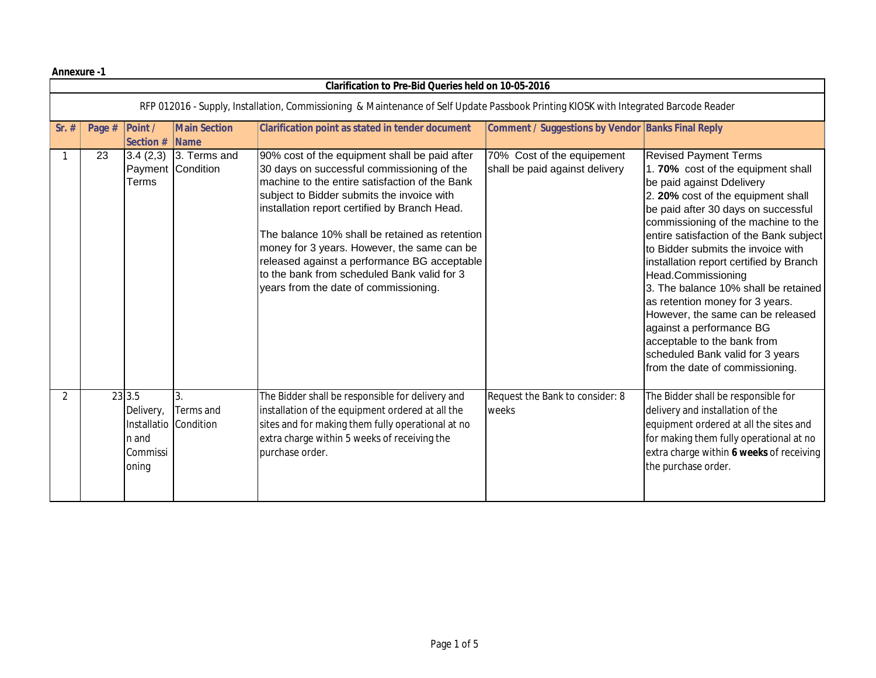**Annexure -1**

|                                                                                                                                      | <b>Clarification to Pre-Bid Queries held on 10-05-2016</b> |                                                                            |                                            |                                                                                                                                                                                                                                                                                                                                                                                                                                                                                       |                                                              |                                                                                                                                                                                                                                                                                                                                                                                                                                                                                                                                                                                                                        |  |
|--------------------------------------------------------------------------------------------------------------------------------------|------------------------------------------------------------|----------------------------------------------------------------------------|--------------------------------------------|---------------------------------------------------------------------------------------------------------------------------------------------------------------------------------------------------------------------------------------------------------------------------------------------------------------------------------------------------------------------------------------------------------------------------------------------------------------------------------------|--------------------------------------------------------------|------------------------------------------------------------------------------------------------------------------------------------------------------------------------------------------------------------------------------------------------------------------------------------------------------------------------------------------------------------------------------------------------------------------------------------------------------------------------------------------------------------------------------------------------------------------------------------------------------------------------|--|
| RFP 012016 - Supply, Installation, Commissioning & Maintenance of Self Update Passbook Printing KIOSK with Integrated Barcode Reader |                                                            |                                                                            |                                            |                                                                                                                                                                                                                                                                                                                                                                                                                                                                                       |                                                              |                                                                                                                                                                                                                                                                                                                                                                                                                                                                                                                                                                                                                        |  |
| $Sr.$ #                                                                                                                              | Page #                                                     | <b>Point /</b><br>Section #                                                | <b>Main Section</b><br>$\blacksquare$ Name | Clarification point as stated in tender document                                                                                                                                                                                                                                                                                                                                                                                                                                      | <b>Comment / Suggestions by Vendor Banks Final Reply</b>     |                                                                                                                                                                                                                                                                                                                                                                                                                                                                                                                                                                                                                        |  |
|                                                                                                                                      | 23                                                         | 3.4(2,3)<br>Terms                                                          | 3. Terms and<br>Payment Condition          | 90% cost of the equipment shall be paid after<br>30 days on successful commissioning of the<br>machine to the entire satisfaction of the Bank<br>subject to Bidder submits the invoice with<br>installation report certified by Branch Head.<br>The balance 10% shall be retained as retention<br>money for 3 years. However, the same can be<br>released against a performance BG acceptable<br>to the bank from scheduled Bank valid for 3<br>years from the date of commissioning. | 70% Cost of the equipement<br>shall be paid against delivery | <b>Revised Payment Terms</b><br>1.70% cost of the equipment shall<br>be paid against Ddelivery<br>2. 20% cost of the equipment shall<br>be paid after 30 days on successful<br>commissioning of the machine to the<br>entire satisfaction of the Bank subject<br>to Bidder submits the invoice with<br>installation report certified by Branch<br>Head.Commissioning<br>3. The balance 10% shall be retained<br>as retention money for 3 years.<br>However, the same can be released<br>against a performance BG<br>acceptable to the bank from<br>scheduled Bank valid for 3 years<br>from the date of commissioning. |  |
| 2                                                                                                                                    |                                                            | 23 3.5<br>Delivery,<br>Installatio Condition<br>n and<br>Commissi<br>oning | 3.<br>Terms and                            | The Bidder shall be responsible for delivery and<br>installation of the equipment ordered at all the<br>sites and for making them fully operational at no<br>extra charge within 5 weeks of receiving the<br>purchase order.                                                                                                                                                                                                                                                          | Request the Bank to consider: 8<br>weeks                     | The Bidder shall be responsible for<br>delivery and installation of the<br>equipment ordered at all the sites and<br>for making them fully operational at no<br>extra charge within 6 weeks of receiving<br>the purchase order.                                                                                                                                                                                                                                                                                                                                                                                        |  |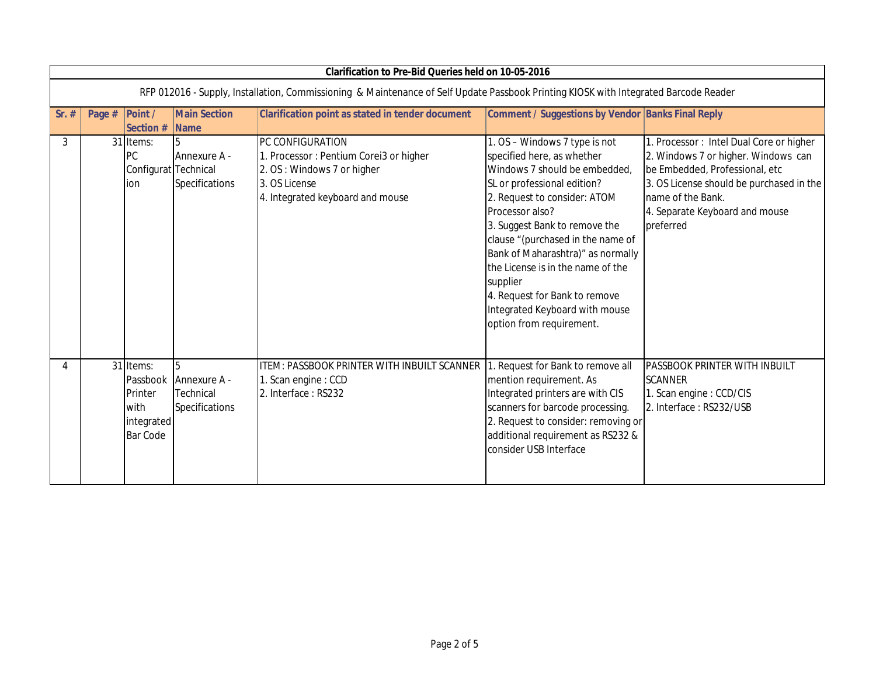|         | <b>Clarification to Pre-Bid Queries held on 10-05-2016</b>                                                                           |                                                               |                                                                                                                                               |                                                                                                                                                                                                                                                                                                                                                                                                                                          |                                                                                                                                                                                                                                  |  |  |
|---------|--------------------------------------------------------------------------------------------------------------------------------------|---------------------------------------------------------------|-----------------------------------------------------------------------------------------------------------------------------------------------|------------------------------------------------------------------------------------------------------------------------------------------------------------------------------------------------------------------------------------------------------------------------------------------------------------------------------------------------------------------------------------------------------------------------------------------|----------------------------------------------------------------------------------------------------------------------------------------------------------------------------------------------------------------------------------|--|--|
|         | RFP 012016 - Supply, Installation, Commissioning & Maintenance of Self Update Passbook Printing KIOSK with Integrated Barcode Reader |                                                               |                                                                                                                                               |                                                                                                                                                                                                                                                                                                                                                                                                                                          |                                                                                                                                                                                                                                  |  |  |
| $Sr.$ # | Point /<br>Page #<br>Section #                                                                                                       | <b>Main Section</b><br><b>Name</b>                            | <b>Clarification point as stated in tender document</b>                                                                                       | Comment / Suggestions by Vendor Banks Final Reply                                                                                                                                                                                                                                                                                                                                                                                        |                                                                                                                                                                                                                                  |  |  |
| 3       | 31 Items:<br>PC<br>ion                                                                                                               | Annexure A -<br>Configurat Technical<br><b>Specifications</b> | PC CONFIGURATION<br>1. Processor: Pentium Corei3 or higher<br>2. OS: Windows 7 or higher<br>3. OS License<br>4. Integrated keyboard and mouse | 1. OS - Windows 7 type is not<br>specified here, as whether<br>Windows 7 should be embedded<br>SL or professional edition?<br>2. Request to consider: ATOM<br>Processor also?<br>3. Suggest Bank to remove the<br>clause "(purchased in the name of<br>Bank of Maharashtra)" as normally<br>the License is in the name of the<br>supplier<br>4. Request for Bank to remove<br>Integrated Keyboard with mouse<br>option from requirement. | 1. Processor: Intel Dual Core or higher<br>2. Windows 7 or higher. Windows can<br>be Embedded, Professional, etc<br>3. OS License should be purchased in the<br>name of the Bank.<br>4. Separate Keyboard and mouse<br>preferred |  |  |
| 4       | 31 Items:<br>Passbook<br>Printer<br>with<br>integrated<br><b>Bar Code</b>                                                            | 5<br>Annexure A -<br>Technical<br><b>Specifications</b>       | ITEM: PASSBOOK PRINTER WITH INBUILT SCANNER<br>1. Scan engine: CCD<br>2. Interface: RS232                                                     | 1. Request for Bank to remove all<br>mention requirement. As<br>Integrated printers are with CIS<br>scanners for barcode processing.<br>2. Request to consider: removing or<br>additional requirement as RS232 &<br>consider USB Interface                                                                                                                                                                                               | PASSBOOK PRINTER WITH INBUILT<br><b>SCANNER</b><br>1. Scan engine: CCD/CIS<br>2. Interface: RS232/USB                                                                                                                            |  |  |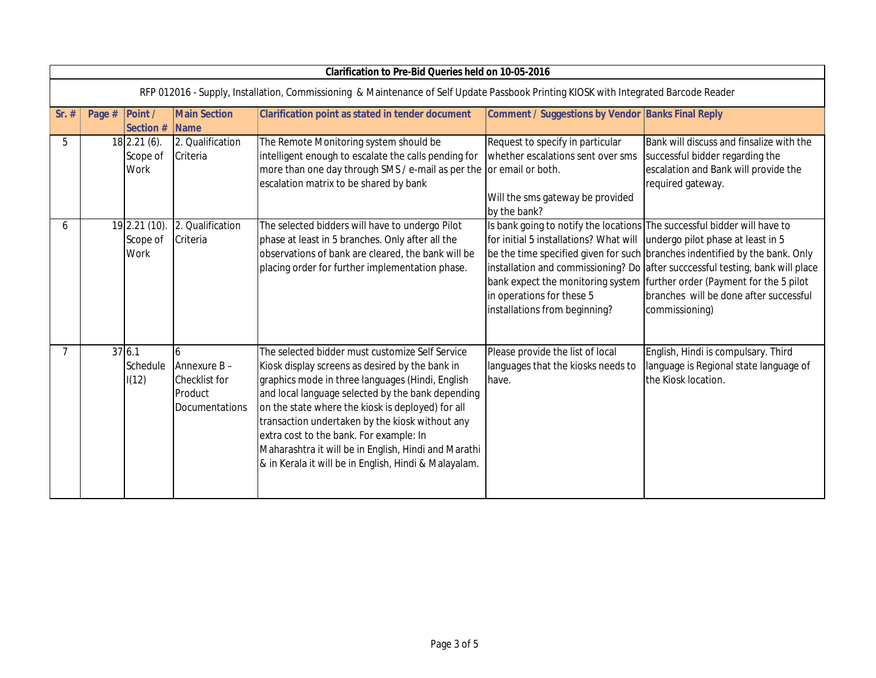|                                                                                                                                      | <b>Clarification to Pre-Bid Queries held on 10-05-2016</b> |                                                                       |                                                                                                                                                                                                                                                                                                                                                                                                                                                                                 |                                                                                                                                                                                                                    |                                                                                                                                                                                                                                                                                                      |  |  |
|--------------------------------------------------------------------------------------------------------------------------------------|------------------------------------------------------------|-----------------------------------------------------------------------|---------------------------------------------------------------------------------------------------------------------------------------------------------------------------------------------------------------------------------------------------------------------------------------------------------------------------------------------------------------------------------------------------------------------------------------------------------------------------------|--------------------------------------------------------------------------------------------------------------------------------------------------------------------------------------------------------------------|------------------------------------------------------------------------------------------------------------------------------------------------------------------------------------------------------------------------------------------------------------------------------------------------------|--|--|
| RFP 012016 - Supply, Installation, Commissioning & Maintenance of Self Update Passbook Printing KIOSK with Integrated Barcode Reader |                                                            |                                                                       |                                                                                                                                                                                                                                                                                                                                                                                                                                                                                 |                                                                                                                                                                                                                    |                                                                                                                                                                                                                                                                                                      |  |  |
| $Sr.$ #                                                                                                                              | Point /<br>Page #<br>Section #                             | <b>Main Section</b><br>$\blacksquare$ Name                            | <b>Clarification point as stated in tender document</b>                                                                                                                                                                                                                                                                                                                                                                                                                         | Comment / Suggestions by Vendor Banks Final Reply                                                                                                                                                                  |                                                                                                                                                                                                                                                                                                      |  |  |
| 5                                                                                                                                    | 18 2.21 (6).<br>Scope of<br>Work                           | 2. Qualification<br>Criteria                                          | The Remote Monitoring system should be<br>intelligent enough to escalate the calls pending for<br>more than one day through SMS / e-mail as per the or email or both.<br>escalation matrix to be shared by bank                                                                                                                                                                                                                                                                 | Request to specify in particular<br>whether escalations sent over sms<br>Will the sms gateway be provided<br>by the bank?                                                                                          | Bank will discuss and finsalize with the<br>successful bidder regarding the<br>escalation and Bank will provide the<br>required gateway.                                                                                                                                                             |  |  |
| 6                                                                                                                                    | 19 2.21 (10)<br>Scope of<br>Work                           | 2. Qualification<br>Criteria                                          | The selected bidders will have to undergo Pilot<br>phase at least in 5 branches. Only after all the<br>observations of bank are cleared, the bank will be<br>placing order for further implementation phase.                                                                                                                                                                                                                                                                    | Is bank going to notify the locations The successful bidder will have to<br>for initial 5 installations? What will undergo pilot phase at least in 5<br>in operations for these 5<br>installations from beginning? | be the time specified given for such branches indentified by the bank. Only<br>installation and commissioning? Do after succcessful testing, bank will place<br>bank expect the monitoring system further order (Payment for the 5 pilot<br>branches will be done after successful<br>commissioning) |  |  |
| $\overline{7}$                                                                                                                       | 376.1<br>Schedule<br>I(12)                                 | 6<br>Annexure B-<br><b>Checklist for</b><br>Product<br>Documentations | The selected bidder must customize Self Service<br>Kiosk display screens as desired by the bank in<br>graphics mode in three languages (Hindi, English<br>and local language selected by the bank depending<br>on the state where the kiosk is deployed) for all<br>transaction undertaken by the kiosk without any<br>extra cost to the bank. For example: In<br>Maharashtra it will be in English, Hindi and Marathi<br>& in Kerala it will be in English, Hindi & Malayalam. | Please provide the list of local<br>languages that the kiosks needs to<br>have.                                                                                                                                    | English, Hindi is compulsary. Third<br>language is Regional state language of<br>the Kiosk location.                                                                                                                                                                                                 |  |  |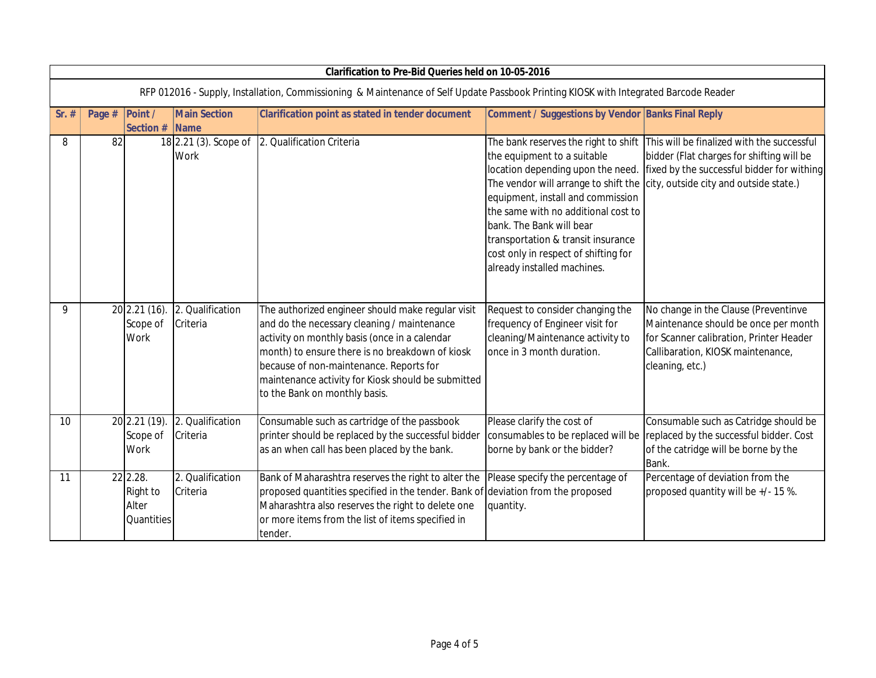|                                                                                                                                      | <b>Clarification to Pre-Bid Queries held on 10-05-2016</b> |                                             |                                        |                                                                                                                                                                                                                                                                                                                                        |                                                                                                                                                                                                                                                                                                                                                                       |                                                                                                                                                                                 |  |
|--------------------------------------------------------------------------------------------------------------------------------------|------------------------------------------------------------|---------------------------------------------|----------------------------------------|----------------------------------------------------------------------------------------------------------------------------------------------------------------------------------------------------------------------------------------------------------------------------------------------------------------------------------------|-----------------------------------------------------------------------------------------------------------------------------------------------------------------------------------------------------------------------------------------------------------------------------------------------------------------------------------------------------------------------|---------------------------------------------------------------------------------------------------------------------------------------------------------------------------------|--|
| RFP 012016 - Supply, Installation, Commissioning & Maintenance of Self Update Passbook Printing KIOSK with Integrated Barcode Reader |                                                            |                                             |                                        |                                                                                                                                                                                                                                                                                                                                        |                                                                                                                                                                                                                                                                                                                                                                       |                                                                                                                                                                                 |  |
| $Sr.$ #                                                                                                                              | Page #                                                     | Point /<br>Section #                        | <b>Main Section</b><br><b>Name</b>     | <b>Clarification point as stated in tender document</b>                                                                                                                                                                                                                                                                                | Comment / Suggestions by Vendor Banks Final Reply                                                                                                                                                                                                                                                                                                                     |                                                                                                                                                                                 |  |
| 8                                                                                                                                    | 82                                                         |                                             | $18$ 2.21 (3). Scope of<br><b>Work</b> | 2. Qualification Criteria                                                                                                                                                                                                                                                                                                              | The bank reserves the right to shift<br>the equipment to a suitable<br>location depending upon the need.<br>The vendor will arrange to shift the<br>equipment, install and commission<br>the same with no additional cost to<br>bank. The Bank will bear<br>transportation & transit insurance<br>cost only in respect of shifting for<br>already installed machines. | This will be finalized with the successful<br>bidder (Flat charges for shifting will be<br>fixed by the successful bidder for withing<br>city, outside city and outside state.) |  |
| 9                                                                                                                                    |                                                            | 20 2.21 (16).<br>Scope of<br>Work           | 2. Qualification<br>Criteria           | The authorized engineer should make regular visit<br>and do the necessary cleaning / maintenance<br>activity on monthly basis (once in a calendar<br>month) to ensure there is no breakdown of kiosk<br>because of non-maintenance. Reports for<br>maintenance activity for Kiosk should be submitted<br>to the Bank on monthly basis. | Request to consider changing the<br>frequency of Engineer visit for<br>cleaning/Maintenance activity to<br>once in 3 month duration.                                                                                                                                                                                                                                  | No change in the Clause (Preventinve<br>Maintenance should be once per month<br>for Scanner calibration, Printer Header<br>Callibaration, KIOSK maintenance,<br>cleaning, etc.) |  |
| 10                                                                                                                                   |                                                            | 20 2.21 (19)<br>Scope of<br><b>Work</b>     | 2. Qualification<br>Criteria           | Consumable such as cartridge of the passbook<br>printer should be replaced by the successful bidder<br>as an when call has been placed by the bank.                                                                                                                                                                                    | Please clarify the cost of<br>consumables to be replaced will be<br>borne by bank or the bidder?                                                                                                                                                                                                                                                                      | Consumable such as Catridge should be<br>replaced by the successful bidder. Cost<br>of the catridge will be borne by the<br>Bank.                                               |  |
| 11                                                                                                                                   |                                                            | 22 2.28.<br>Right to<br>Alter<br>Quantities | 2. Qualification<br>Criteria           | Bank of Maharashtra reserves the right to alter the<br>proposed quantities specified in the tender. Bank of deviation from the proposed<br>Maharashtra also reserves the right to delete one<br>or more items from the list of items specified in<br>tender.                                                                           | Please specify the percentage of<br>quantity.                                                                                                                                                                                                                                                                                                                         | Percentage of deviation from the<br>proposed quantity will be +/- 15 %.                                                                                                         |  |